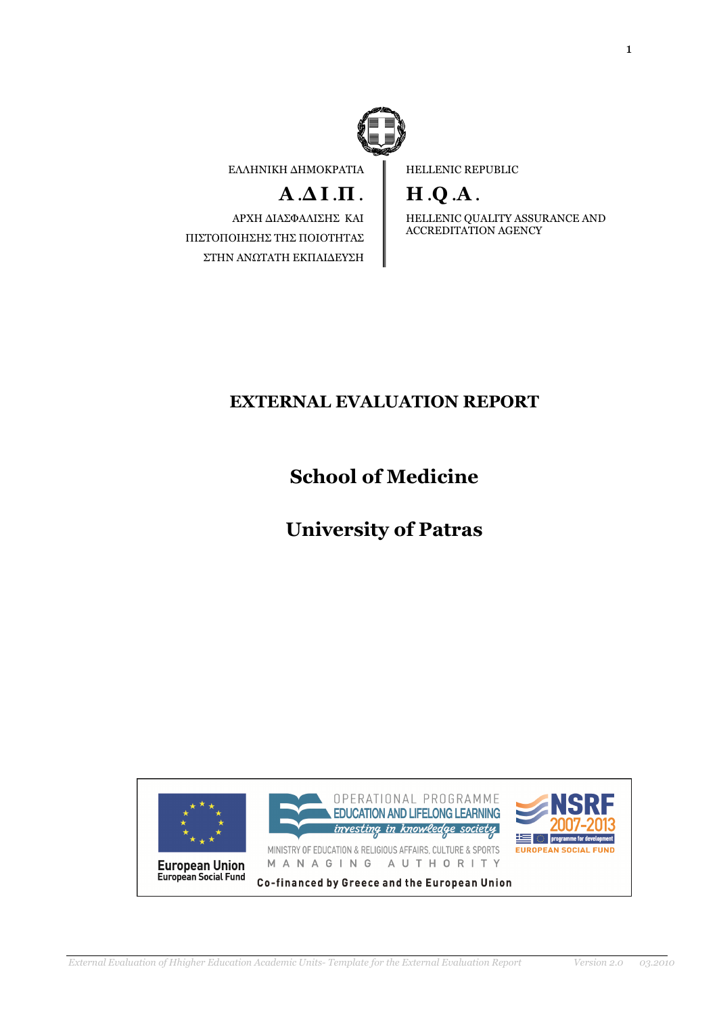

EΛΛΗΝΙΚΗ ∆ΗΜΟΚΡΑΤΙΑ

# $A \Delta I \Pi$ .

ΑΡΧΗ ∆ΙΑΣΦΑΛΙΣΗΣ ΚΑΙ ΠΙΣΤΟΠΟΙΗΣΗΣ ΤΗΣ ΠΟΙΟΤΗΤΑΣ ΣΤΗΝ ΑΝΩΤΑΤΗ ΕΚΠΑΙ∆ΕΥΣΗ HELLENIC REPUBLIC

# H .Q .A .

HELLENIC QUALITY ASSURANCE AND ACCREDITATION AGENCY

## EXTERNAL EVALUATION REPORT

# School of Medicine

# University of Patras

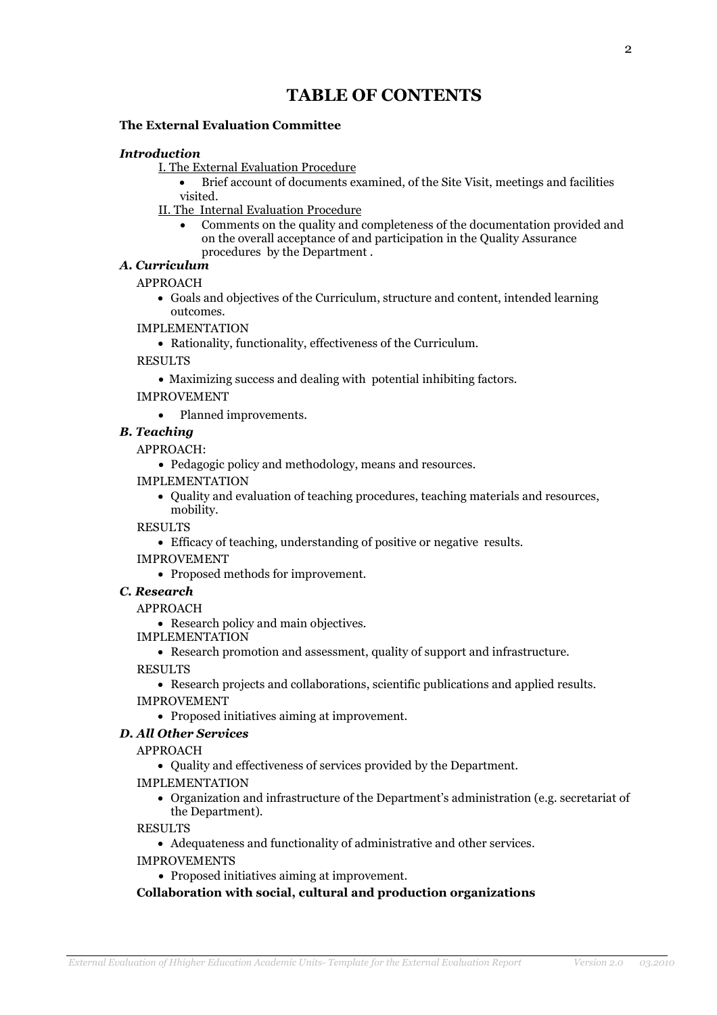### TABLE OF CONTENTS

### The External Evaluation Committee

### Introduction

- I. The External Evaluation Procedure
	- Brief account of documents examined, of the Site Visit, meetings and facilities visited.
- II. The Internal Evaluation Procedure
	- Comments on the quality and completeness of the documentation provided and on the overall acceptance of and participation in the Quality Assurance procedures by the Department .
- Α. Curriculum

APPROACH

• Goals and objectives of the Curriculum, structure and content, intended learning outcomes.

### IMPLEMENTATION

• Rationality, functionality, effectiveness of the Curriculum.

RESULTS

• Maximizing success and dealing with potential inhibiting factors.

IMPROVEMENT

• Planned improvements.

### B. Teaching

APPROACH:

- Pedagogic policy and methodology, means and resources.
- IMPLEMENTATION
	- Quality and evaluation of teaching procedures, teaching materials and resources, mobility.

RESULTS

- Efficacy of teaching, understanding of positive or negative results.
- IMPROVEMENT
	- Proposed methods for improvement.

### C. Research

### APPROACH

• Research policy and main objectives.

IMPLEMENTATION

• Research promotion and assessment, quality of support and infrastructure.

RESULTS

• Research projects and collaborations, scientific publications and applied results. IMPROVEMENT

• Proposed initiatives aiming at improvement.

### D. All Other Services

APPROACH

• Quality and effectiveness of services provided by the Department.

IMPLEMENTATION

• Organization and infrastructure of the Department's administration (e.g. secretariat of the Department).

RESULTS

• Adequateness and functionality of administrative and other services.

IMPROVEMENTS

• Proposed initiatives aiming at improvement.

### Collaboration with social, cultural and production organizations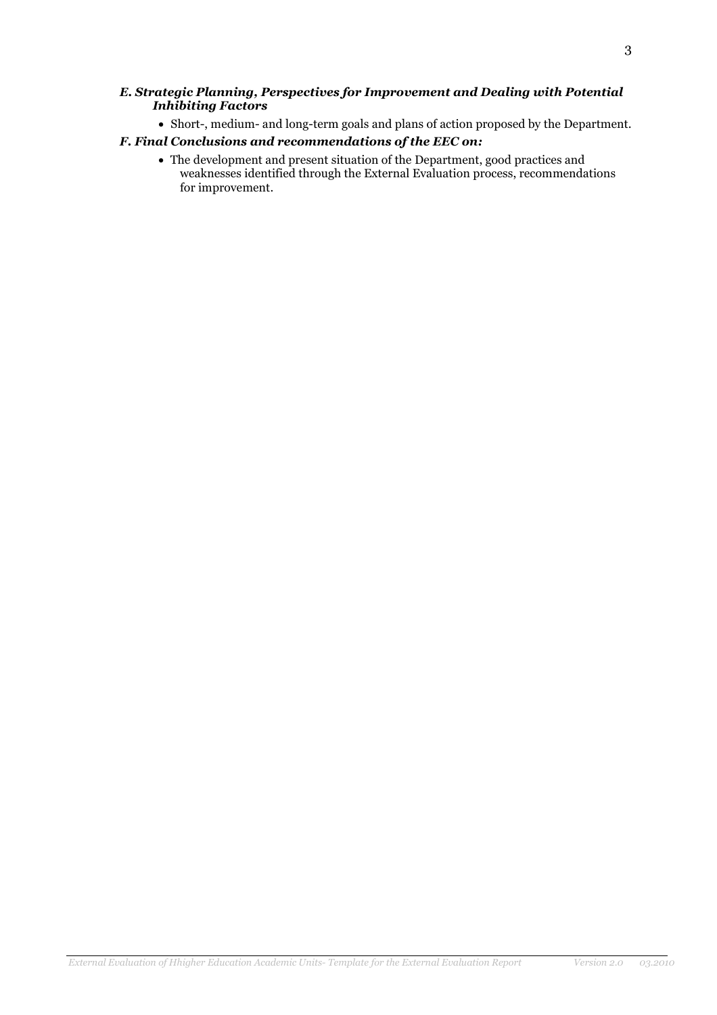#### E. Strategic Planning, Perspectives for Improvement and Dealing with Potential Inhibiting Factors

• Short-, medium- and long-term goals and plans of action proposed by the Department.

### F. Final Conclusions and recommendations of the EEC on:

• The development and present situation of the Department, good practices and weaknesses identified through the External Evaluation process, recommendations for improvement.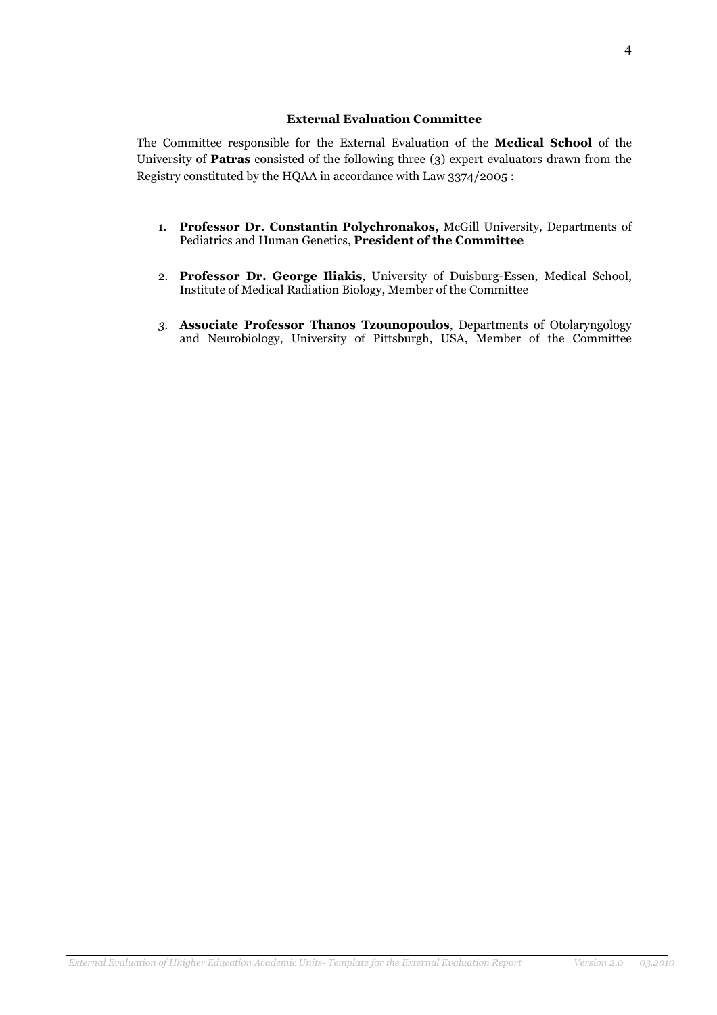### External Evaluation Committee

The Committee responsible for the External Evaluation of the Medical School of the University of Patras consisted of the following three (3) expert evaluators drawn from the Registry constituted by the HQAA in accordance with Law 3374/2005 :

- 1. Professor Dr. Constantin Polychronakos, McGill University, Departments of Pediatrics and Human Genetics, President of the Committee
- 2. Professor Dr. George Iliakis, University of Duisburg-Essen, Medical School, Institute of Medical Radiation Biology, Member of the Committee
- 3. Associate Professor Thanos Tzounopoulos, Departments of Otolaryngology and Neurobiology, University of Pittsburgh, USA, Member of the Committee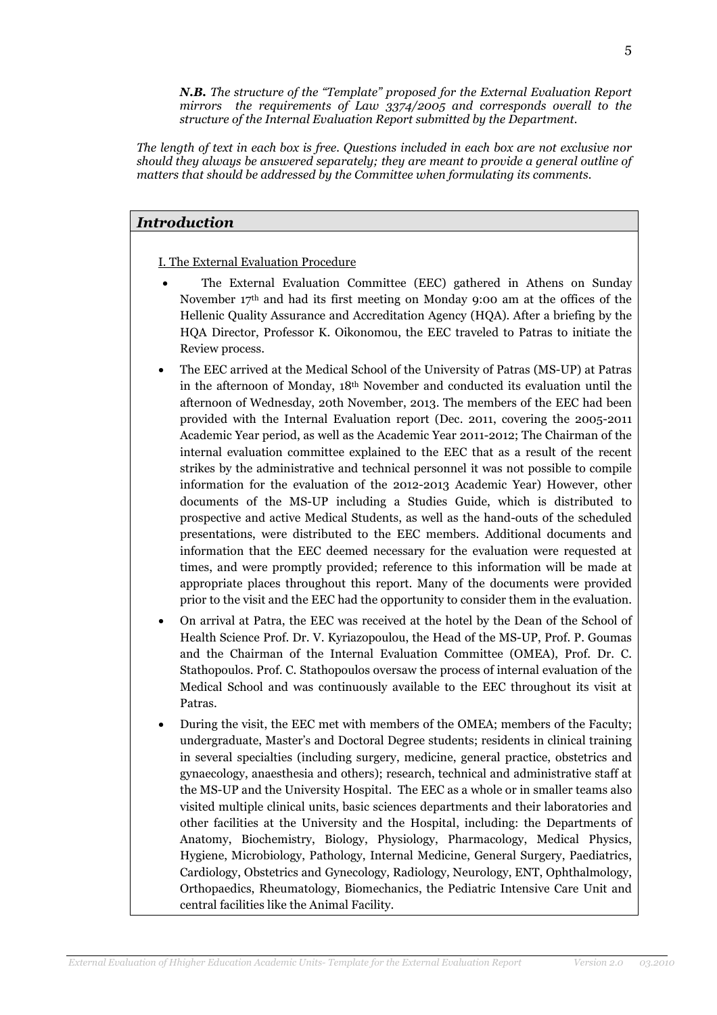N.B. The structure of the "Template" proposed for the External Evaluation Report mirrors the requirements of Law 3374/2005 and corresponds overall to the structure of the Internal Evaluation Report submitted by the Department.

The length of text in each box is free. Questions included in each box are not exclusive nor should they always be answered separately; they are meant to provide a general outline of matters that should be addressed by the Committee when formulating its comments.

### Introduction

I. The External Evaluation Procedure

- The External Evaluation Committee (EEC) gathered in Athens on Sunday November 17th and had its first meeting on Monday 9:00 am at the offices of the Hellenic Quality Assurance and Accreditation Agency (HQA). After a briefing by the HQA Director, Professor K. Oikonomou, the EEC traveled to Patras to initiate the Review process.
- The EEC arrived at the Medical School of the University of Patras (MS-UP) at Patras in the afternoon of Monday, 18th November and conducted its evaluation until the afternoon of Wednesday, 20th November, 2013. The members of the EEC had been provided with the Internal Evaluation report (Dec. 2011, covering the 2005-2011 Academic Year period, as well as the Academic Year 2011-2012; The Chairman of the internal evaluation committee explained to the EEC that as a result of the recent strikes by the administrative and technical personnel it was not possible to compile information for the evaluation of the 2012-2013 Academic Year) However, other documents of the MS-UP including a Studies Guide, which is distributed to prospective and active Medical Students, as well as the hand-outs of the scheduled presentations, were distributed to the EEC members. Additional documents and information that the EEC deemed necessary for the evaluation were requested at times, and were promptly provided; reference to this information will be made at appropriate places throughout this report. Many of the documents were provided prior to the visit and the EEC had the opportunity to consider them in the evaluation.
- On arrival at Patra, the EEC was received at the hotel by the Dean of the School of Health Science Prof. Dr. V. Kyriazopoulou, the Head of the MS-UP, Prof. P. Goumas and the Chairman of the Internal Evaluation Committee (OMEA), Prof. Dr. C. Stathopoulos. Prof. C. Stathopoulos oversaw the process of internal evaluation of the Medical School and was continuously available to the EEC throughout its visit at Patras.
- During the visit, the EEC met with members of the OMEA; members of the Faculty; undergraduate, Master's and Doctoral Degree students; residents in clinical training in several specialties (including surgery, medicine, general practice, obstetrics and gynaecology, anaesthesia and others); research, technical and administrative staff at the MS-UP and the University Hospital. The EEC as a whole or in smaller teams also visited multiple clinical units, basic sciences departments and their laboratories and other facilities at the University and the Hospital, including: the Departments of Anatomy, Biochemistry, Biology, Physiology, Pharmacology, Medical Physics, Hygiene, Microbiology, Pathology, Internal Medicine, General Surgery, Paediatrics, Cardiology, Obstetrics and Gynecology, Radiology, Neurology, ENT, Ophthalmology, Orthopaedics, Rheumatology, Biomechanics, the Pediatric Intensive Care Unit and central facilities like the Animal Facility.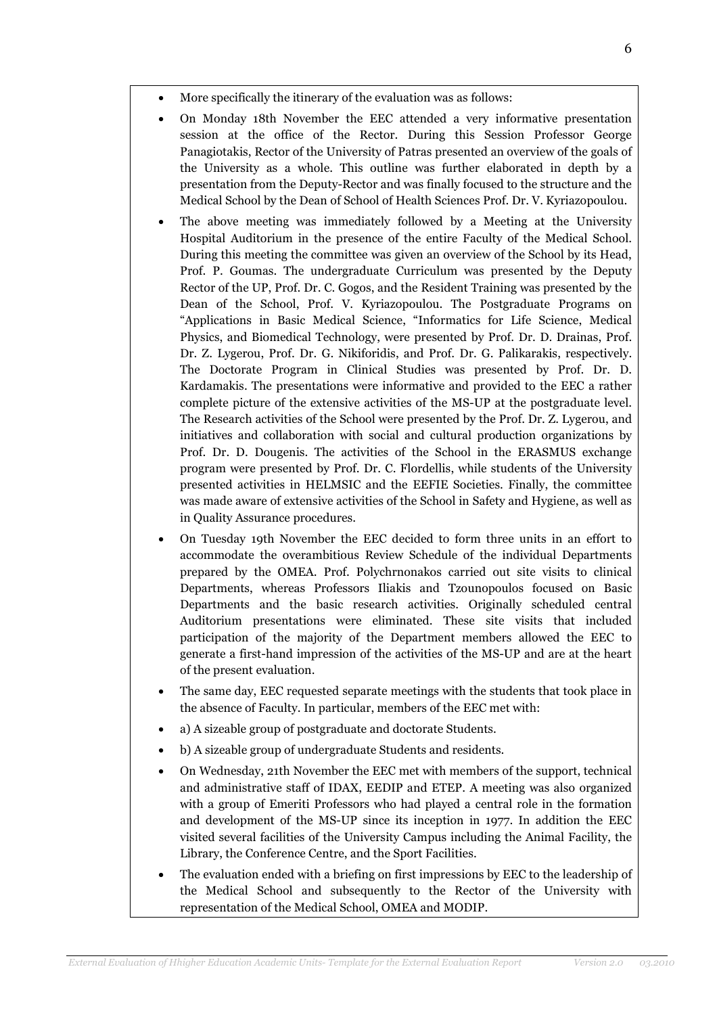- More specifically the itinerary of the evaluation was as follows:
- On Monday 18th November the EEC attended a very informative presentation session at the office of the Rector. During this Session Professor George Panagiotakis, Rector of the University of Patras presented an overview of the goals of the University as a whole. This outline was further elaborated in depth by a presentation from the Deputy-Rector and was finally focused to the structure and the Medical School by the Dean of School of Health Sciences Prof. Dr. V. Kyriazopoulou.
- The above meeting was immediately followed by a Meeting at the University Hospital Auditorium in the presence of the entire Faculty of the Medical School. During this meeting the committee was given an overview of the School by its Head, Prof. P. Goumas. The undergraduate Curriculum was presented by the Deputy Rector of the UP, Prof. Dr. C. Gogos, and the Resident Training was presented by the Dean of the School, Prof. V. Kyriazopoulou. The Postgraduate Programs on "Applications in Basic Medical Science, "Informatics for Life Science, Medical Physics, and Biomedical Technology, were presented by Prof. Dr. D. Drainas, Prof. Dr. Z. Lygerou, Prof. Dr. G. Nikiforidis, and Prof. Dr. G. Palikarakis, respectively. The Doctorate Program in Clinical Studies was presented by Prof. Dr. D. Kardamakis. The presentations were informative and provided to the EEC a rather complete picture of the extensive activities of the MS-UP at the postgraduate level. The Research activities of the School were presented by the Prof. Dr. Z. Lygerou, and initiatives and collaboration with social and cultural production organizations by Prof. Dr. D. Dougenis. The activities of the School in the ERASMUS exchange program were presented by Prof. Dr. C. Flordellis, while students of the University presented activities in HELMSIC and the EEFIE Societies. Finally, the committee was made aware of extensive activities of the School in Safety and Hygiene, as well as in Quality Assurance procedures.
- On Tuesday 19th November the EEC decided to form three units in an effort to accommodate the overambitious Review Schedule of the individual Departments prepared by the OMEA. Prof. Polychrnonakos carried out site visits to clinical Departments, whereas Professors Iliakis and Tzounopoulos focused on Basic Departments and the basic research activities. Originally scheduled central Auditorium presentations were eliminated. These site visits that included participation of the majority of the Department members allowed the EEC to generate a first-hand impression of the activities of the MS-UP and are at the heart of the present evaluation.
- The same day, EEC requested separate meetings with the students that took place in the absence of Faculty. In particular, members of the EEC met with:
- a) A sizeable group of postgraduate and doctorate Students.
- b) A sizeable group of undergraduate Students and residents.
- On Wednesday, 21th November the EEC met with members of the support, technical and administrative staff of IDAX, EEDIP and ETEP. A meeting was also organized with a group of Emeriti Professors who had played a central role in the formation and development of the MS-UP since its inception in 1977. In addition the EEC visited several facilities of the University Campus including the Animal Facility, the Library, the Conference Centre, and the Sport Facilities.
- The evaluation ended with a briefing on first impressions by EEC to the leadership of the Medical School and subsequently to the Rector of the University with representation of the Medical School, OMEA and MODIP.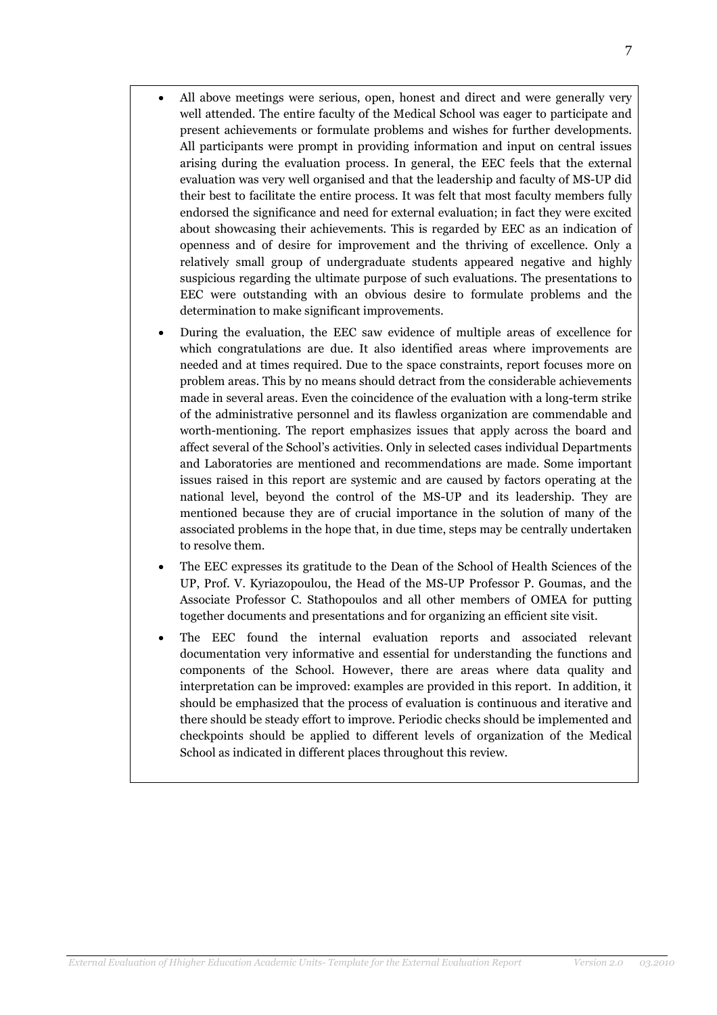- All above meetings were serious, open, honest and direct and were generally very well attended. The entire faculty of the Medical School was eager to participate and present achievements or formulate problems and wishes for further developments. All participants were prompt in providing information and input on central issues arising during the evaluation process. In general, the EEC feels that the external evaluation was very well organised and that the leadership and faculty of MS-UP did their best to facilitate the entire process. It was felt that most faculty members fully endorsed the significance and need for external evaluation; in fact they were excited about showcasing their achievements. This is regarded by EEC as an indication of openness and of desire for improvement and the thriving of excellence. Only a relatively small group of undergraduate students appeared negative and highly suspicious regarding the ultimate purpose of such evaluations. The presentations to EEC were outstanding with an obvious desire to formulate problems and the determination to make significant improvements.
- During the evaluation, the EEC saw evidence of multiple areas of excellence for which congratulations are due. It also identified areas where improvements are needed and at times required. Due to the space constraints, report focuses more on problem areas. This by no means should detract from the considerable achievements made in several areas. Even the coincidence of the evaluation with a long-term strike of the administrative personnel and its flawless organization are commendable and worth-mentioning. The report emphasizes issues that apply across the board and affect several of the School's activities. Only in selected cases individual Departments and Laboratories are mentioned and recommendations are made. Some important issues raised in this report are systemic and are caused by factors operating at the national level, beyond the control of the MS-UP and its leadership. They are mentioned because they are of crucial importance in the solution of many of the associated problems in the hope that, in due time, steps may be centrally undertaken to resolve them.
- The EEC expresses its gratitude to the Dean of the School of Health Sciences of the UP, Prof. V. Kyriazopoulou, the Head of the MS-UP Professor P. Goumas, and the Associate Professor C. Stathopoulos and all other members of OMEA for putting together documents and presentations and for organizing an efficient site visit.
- The EEC found the internal evaluation reports and associated relevant documentation very informative and essential for understanding the functions and components of the School. However, there are areas where data quality and interpretation can be improved: examples are provided in this report. In addition, it should be emphasized that the process of evaluation is continuous and iterative and there should be steady effort to improve. Periodic checks should be implemented and checkpoints should be applied to different levels of organization of the Medical School as indicated in different places throughout this review.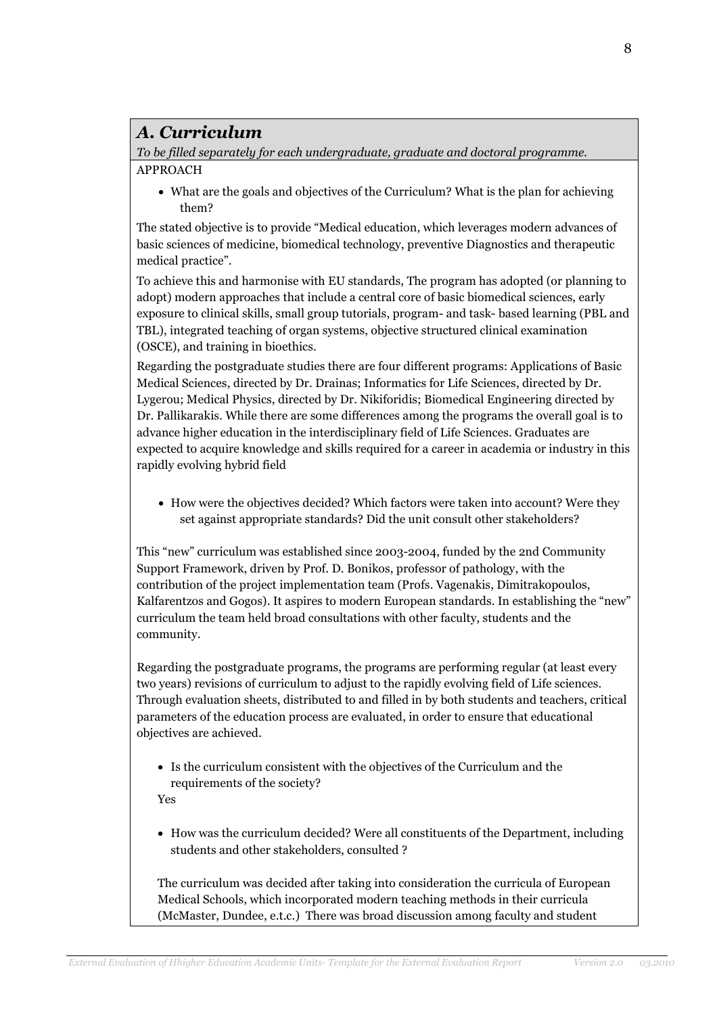## Α. Curriculum

To be filled separately for each undergraduate, graduate and doctoral programme. APPROACH

• What are the goals and objectives of the Curriculum? What is the plan for achieving them?

The stated objective is to provide "Medical education, which leverages modern advances of basic sciences of medicine, biomedical technology, preventive Diagnostics and therapeutic medical practice".

To achieve this and harmonise with EU standards, The program has adopted (or planning to adopt) modern approaches that include a central core of basic biomedical sciences, early exposure to clinical skills, small group tutorials, program- and task- based learning (PBL and TBL), integrated teaching of organ systems, objective structured clinical examination (OSCE), and training in bioethics.

Regarding the postgraduate studies there are four different programs: Applications of Basic Medical Sciences, directed by Dr. Drainas; Informatics for Life Sciences, directed by Dr. Lygerou; Medical Physics, directed by Dr. Nikiforidis; Biomedical Engineering directed by Dr. Pallikarakis. While there are some differences among the programs the overall goal is to advance higher education in the interdisciplinary field of Life Sciences. Graduates are expected to acquire knowledge and skills required for a career in academia or industry in this rapidly evolving hybrid field

• How were the objectives decided? Which factors were taken into account? Were they set against appropriate standards? Did the unit consult other stakeholders?

This "new" curriculum was established since 2003-2004, funded by the 2nd Community Support Framework, driven by Prof. D. Bonikos, professor of pathology, with the contribution of the project implementation team (Profs. Vagenakis, Dimitrakopoulos, Kalfarentzos and Gogos). It aspires to modern European standards. In establishing the "new" curriculum the team held broad consultations with other faculty, students and the community.

Regarding the postgraduate programs, the programs are performing regular (at least every two years) revisions of curriculum to adjust to the rapidly evolving field of Life sciences. Through evaluation sheets, distributed to and filled in by both students and teachers, critical parameters of the education process are evaluated, in order to ensure that educational objectives are achieved.

• Is the curriculum consistent with the objectives of the Curriculum and the requirements of the society?

Yes

• How was the curriculum decided? Were all constituents of the Department, including students and other stakeholders, consulted ?

The curriculum was decided after taking into consideration the curricula of European Medical Schools, which incorporated modern teaching methods in their curricula (McMaster, Dundee, e.t.c.) There was broad discussion among faculty and student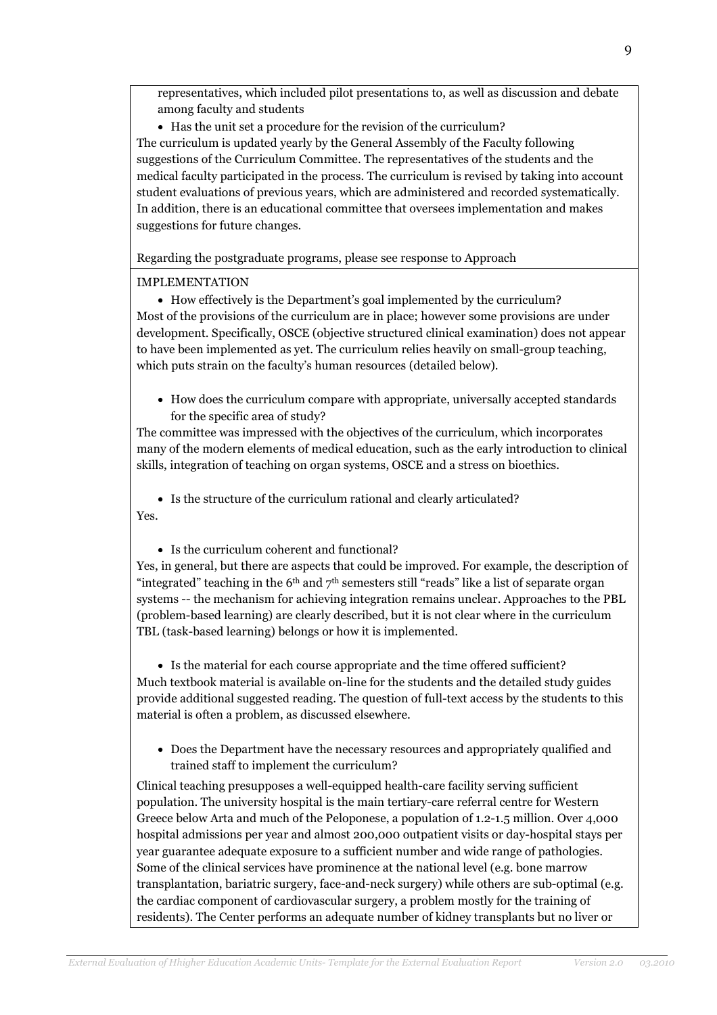representatives, which included pilot presentations to, as well as discussion and debate among faculty and students

• Has the unit set a procedure for the revision of the curriculum? The curriculum is updated yearly by the General Assembly of the Faculty following suggestions of the Curriculum Committee. The representatives of the students and the medical faculty participated in the process. The curriculum is revised by taking into account student evaluations of previous years, which are administered and recorded systematically. In addition, there is an educational committee that oversees implementation and makes suggestions for future changes.

Regarding the postgraduate programs, please see response to Approach

### IMPLEMENTATION

• How effectively is the Department's goal implemented by the curriculum? Most of the provisions of the curriculum are in place; however some provisions are under development. Specifically, OSCE (objective structured clinical examination) does not appear to have been implemented as yet. The curriculum relies heavily on small-group teaching, which puts strain on the faculty's human resources (detailed below).

• How does the curriculum compare with appropriate, universally accepted standards for the specific area of study?

The committee was impressed with the objectives of the curriculum, which incorporates many of the modern elements of medical education, such as the early introduction to clinical skills, integration of teaching on organ systems, OSCE and a stress on bioethics.

• Is the structure of the curriculum rational and clearly articulated? Yes.

• Is the curriculum coherent and functional?

Yes, in general, but there are aspects that could be improved. For example, the description of "integrated" teaching in the  $6<sup>th</sup>$  and  $7<sup>th</sup>$  semesters still "reads" like a list of separate organ systems -- the mechanism for achieving integration remains unclear. Approaches to the PBL (problem-based learning) are clearly described, but it is not clear where in the curriculum TBL (task-based learning) belongs or how it is implemented.

• Is the material for each course appropriate and the time offered sufficient? Much textbook material is available on-line for the students and the detailed study guides provide additional suggested reading. The question of full-text access by the students to this material is often a problem, as discussed elsewhere.

• Does the Department have the necessary resources and appropriately qualified and trained staff to implement the curriculum?

Clinical teaching presupposes a well-equipped health-care facility serving sufficient population. The university hospital is the main tertiary-care referral centre for Western Greece below Arta and much of the Peloponese, a population of 1.2-1.5 million. Over 4,000 hospital admissions per year and almost 200,000 outpatient visits or day-hospital stays per year guarantee adequate exposure to a sufficient number and wide range of pathologies. Some of the clinical services have prominence at the national level (e.g. bone marrow transplantation, bariatric surgery, face-and-neck surgery) while others are sub-optimal (e.g. the cardiac component of cardiovascular surgery, a problem mostly for the training of residents). The Center performs an adequate number of kidney transplants but no liver or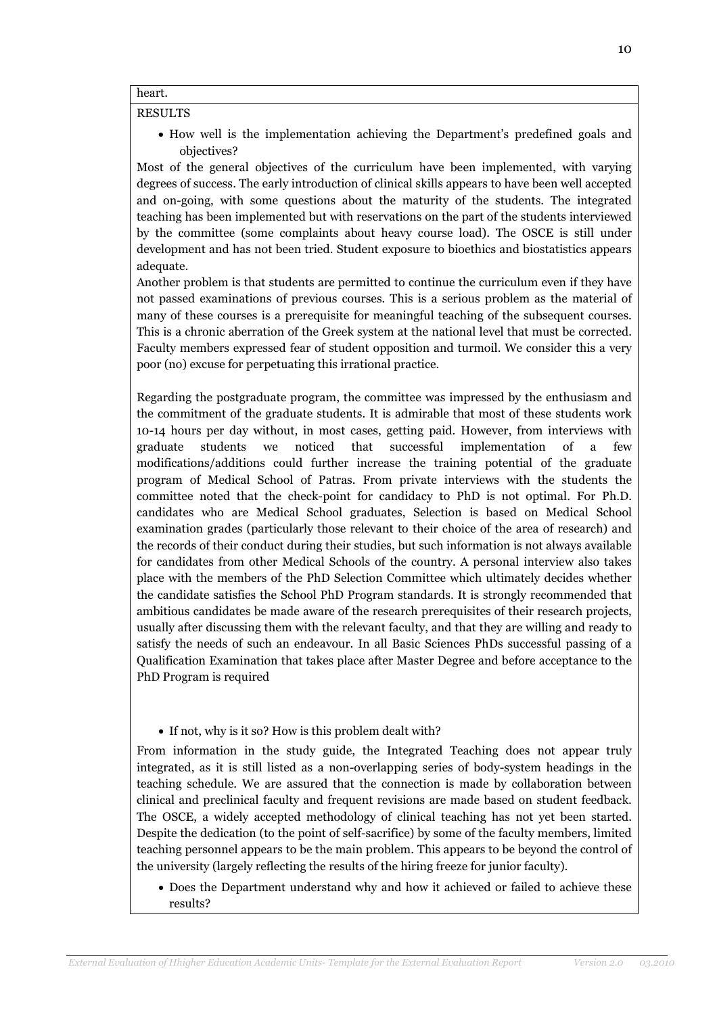### heart.

#### RESULTS

• How well is the implementation achieving the Department's predefined goals and objectives?

Most of the general objectives of the curriculum have been implemented, with varying degrees of success. The early introduction of clinical skills appears to have been well accepted and on-going, with some questions about the maturity of the students. The integrated teaching has been implemented but with reservations on the part of the students interviewed by the committee (some complaints about heavy course load). The OSCE is still under development and has not been tried. Student exposure to bioethics and biostatistics appears adequate.

Another problem is that students are permitted to continue the curriculum even if they have not passed examinations of previous courses. This is a serious problem as the material of many of these courses is a prerequisite for meaningful teaching of the subsequent courses. This is a chronic aberration of the Greek system at the national level that must be corrected. Faculty members expressed fear of student opposition and turmoil. We consider this a very poor (no) excuse for perpetuating this irrational practice.

Regarding the postgraduate program, the committee was impressed by the enthusiasm and the commitment of the graduate students. It is admirable that most of these students work 10-14 hours per day without, in most cases, getting paid. However, from interviews with graduate students we noticed that successful implementation of a few modifications/additions could further increase the training potential of the graduate program of Medical School of Patras. From private interviews with the students the committee noted that the check-point for candidacy to PhD is not optimal. For Ph.D. candidates who are Medical School graduates, Selection is based on Medical School examination grades (particularly those relevant to their choice of the area of research) and the records of their conduct during their studies, but such information is not always available for candidates from other Medical Schools of the country. A personal interview also takes place with the members of the PhD Selection Committee which ultimately decides whether the candidate satisfies the School PhD Program standards. It is strongly recommended that ambitious candidates be made aware of the research prerequisites of their research projects, usually after discussing them with the relevant faculty, and that they are willing and ready to satisfy the needs of such an endeavour. In all Basic Sciences PhDs successful passing of a Qualification Examination that takes place after Master Degree and before acceptance to the PhD Program is required

### • If not, why is it so? How is this problem dealt with?

From information in the study guide, the Integrated Teaching does not appear truly integrated, as it is still listed as a non-overlapping series of body-system headings in the teaching schedule. We are assured that the connection is made by collaboration between clinical and preclinical faculty and frequent revisions are made based on student feedback. The OSCE, a widely accepted methodology of clinical teaching has not yet been started. Despite the dedication (to the point of self-sacrifice) by some of the faculty members, limited teaching personnel appears to be the main problem. This appears to be beyond the control of the university (largely reflecting the results of the hiring freeze for junior faculty).

• Does the Department understand why and how it achieved or failed to achieve these results?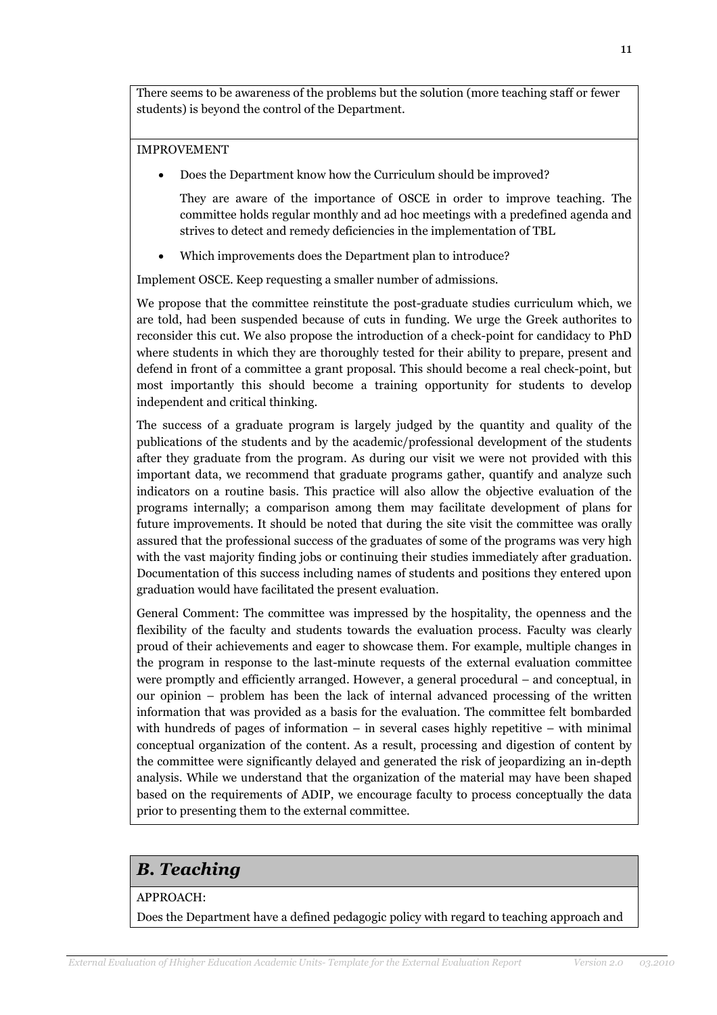There seems to be awareness of the problems but the solution (more teaching staff or fewer students) is beyond the control of the Department.

### IMPROVEMENT

• Does the Department know how the Curriculum should be improved?

They are aware of the importance of OSCE in order to improve teaching. The committee holds regular monthly and ad hoc meetings with a predefined agenda and strives to detect and remedy deficiencies in the implementation of TBL

• Which improvements does the Department plan to introduce?

Implement OSCE. Keep requesting a smaller number of admissions.

We propose that the committee reinstitute the post-graduate studies curriculum which, we are told, had been suspended because of cuts in funding. We urge the Greek authorites to reconsider this cut. We also propose the introduction of a check-point for candidacy to PhD where students in which they are thoroughly tested for their ability to prepare, present and defend in front of a committee a grant proposal. This should become a real check-point, but most importantly this should become a training opportunity for students to develop independent and critical thinking.

The success of a graduate program is largely judged by the quantity and quality of the publications of the students and by the academic/professional development of the students after they graduate from the program. As during our visit we were not provided with this important data, we recommend that graduate programs gather, quantify and analyze such indicators on a routine basis. This practice will also allow the objective evaluation of the programs internally; a comparison among them may facilitate development of plans for future improvements. It should be noted that during the site visit the committee was orally assured that the professional success of the graduates of some of the programs was very high with the vast majority finding jobs or continuing their studies immediately after graduation. Documentation of this success including names of students and positions they entered upon graduation would have facilitated the present evaluation.

General Comment: The committee was impressed by the hospitality, the openness and the flexibility of the faculty and students towards the evaluation process. Faculty was clearly proud of their achievements and eager to showcase them. For example, multiple changes in the program in response to the last-minute requests of the external evaluation committee were promptly and efficiently arranged. However, a general procedural – and conceptual, in our opinion – problem has been the lack of internal advanced processing of the written information that was provided as a basis for the evaluation. The committee felt bombarded with hundreds of pages of information  $-$  in several cases highly repetitive  $-$  with minimal conceptual organization of the content. As a result, processing and digestion of content by the committee were significantly delayed and generated the risk of jeopardizing an in-depth analysis. While we understand that the organization of the material may have been shaped based on the requirements of ADIP, we encourage faculty to process conceptually the data prior to presenting them to the external committee.

### B. Teaching

### APPROACH:

Does the Department have a defined pedagogic policy with regard to teaching approach and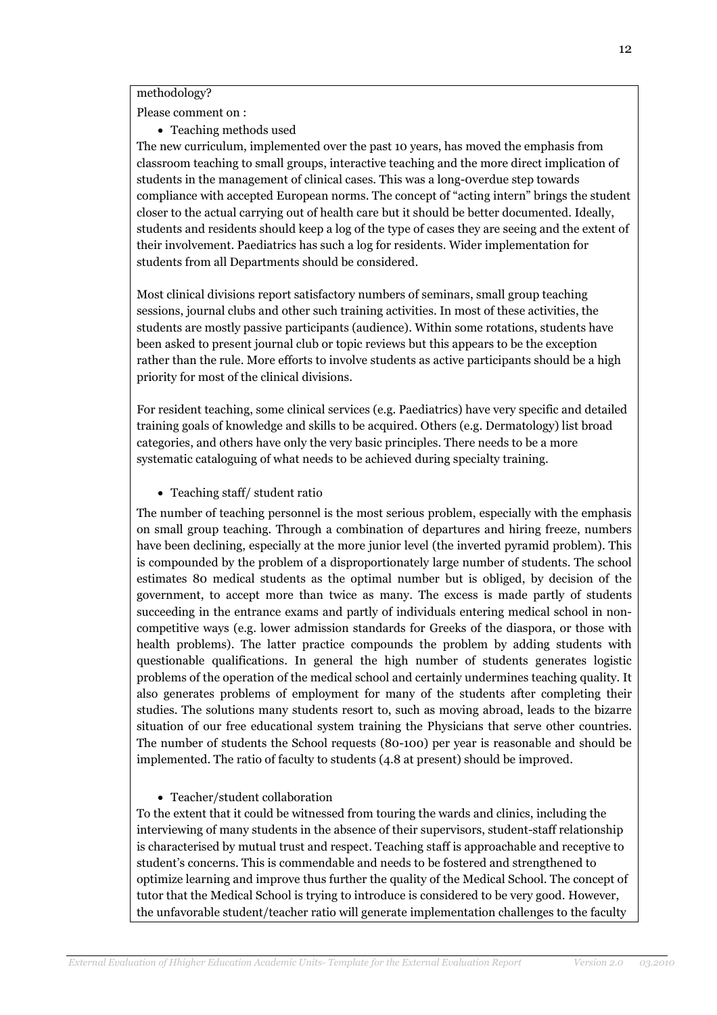methodology?

Please comment on :

• Teaching methods used

The new curriculum, implemented over the past 10 years, has moved the emphasis from classroom teaching to small groups, interactive teaching and the more direct implication of students in the management of clinical cases. This was a long-0verdue step towards compliance with accepted European norms. The concept of "acting intern" brings the student closer to the actual carrying out of health care but it should be better documented. Ideally, students and residents should keep a log of the type of cases they are seeing and the extent of their involvement. Paediatrics has such a log for residents. Wider implementation for students from all Departments should be considered.

Most clinical divisions report satisfactory numbers of seminars, small group teaching sessions, journal clubs and other such training activities. In most of these activities, the students are mostly passive participants (audience). Within some rotations, students have been asked to present journal club or topic reviews but this appears to be the exception rather than the rule. More efforts to involve students as active participants should be a high priority for most of the clinical divisions.

For resident teaching, some clinical services (e.g. Paediatrics) have very specific and detailed training goals of knowledge and skills to be acquired. Others (e.g. Dermatology) list broad categories, and others have only the very basic principles. There needs to be a more systematic cataloguing of what needs to be achieved during specialty training.

• Teaching staff/ student ratio

The number of teaching personnel is the most serious problem, especially with the emphasis on small group teaching. Through a combination of departures and hiring freeze, numbers have been declining, especially at the more junior level (the inverted pyramid problem). This is compounded by the problem of a disproportionately large number of students. The school estimates 80 medical students as the optimal number but is obliged, by decision of the government, to accept more than twice as many. The excess is made partly of students succeeding in the entrance exams and partly of individuals entering medical school in noncompetitive ways (e.g. lower admission standards for Greeks of the diaspora, or those with health problems). The latter practice compounds the problem by adding students with questionable qualifications. In general the high number of students generates logistic problems of the operation of the medical school and certainly undermines teaching quality. It also generates problems of employment for many of the students after completing their studies. The solutions many students resort to, such as moving abroad, leads to the bizarre situation of our free educational system training the Physicians that serve other countries. The number of students the School requests (80-100) per year is reasonable and should be implemented. The ratio of faculty to students (4.8 at present) should be improved.

• Teacher/student collaboration

To the extent that it could be witnessed from touring the wards and clinics, including the interviewing of many students in the absence of their supervisors, student-staff relationship is characterised by mutual trust and respect. Teaching staff is approachable and receptive to student's concerns. This is commendable and needs to be fostered and strengthened to optimize learning and improve thus further the quality of the Medical School. The concept of tutor that the Medical School is trying to introduce is considered to be very good. However, the unfavorable student/teacher ratio will generate implementation challenges to the faculty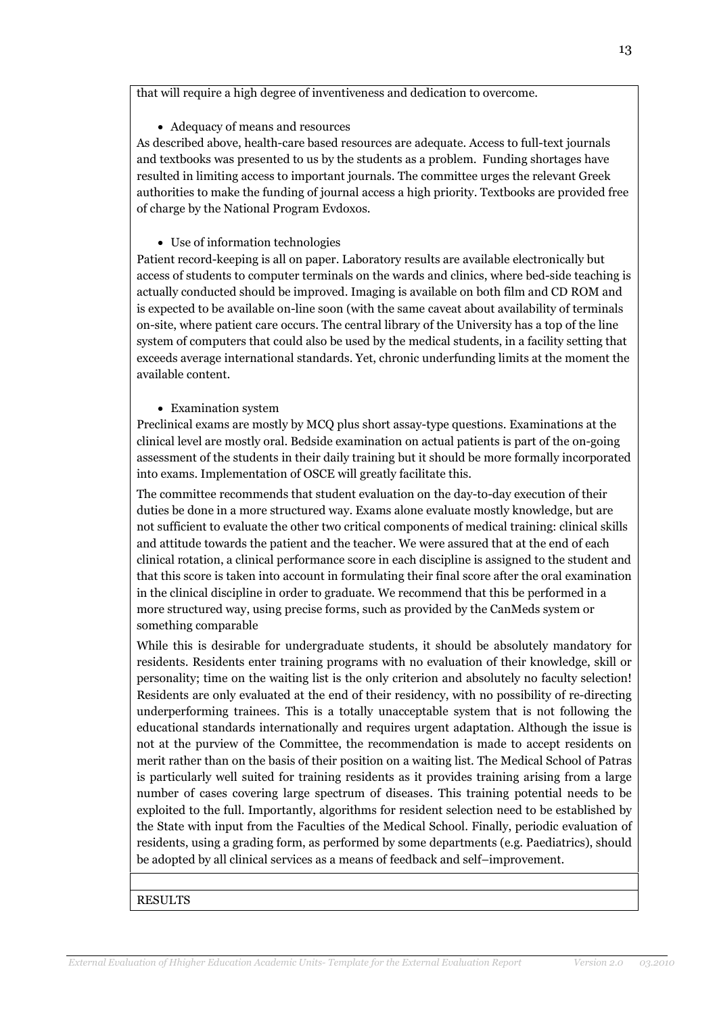that will require a high degree of inventiveness and dedication to overcome.

### • Adequacy of means and resources

As described above, health-care based resources are adequate. Access to full-text journals and textbooks was presented to us by the students as a problem. Funding shortages have resulted in limiting access to important journals. The committee urges the relevant Greek authorities to make the funding of journal access a high priority. Textbooks are provided free of charge by the National Program Evdoxos.

• Use of information technologies

Patient record-keeping is all on paper. Laboratory results are available electronically but access of students to computer terminals on the wards and clinics, where bed-side teaching is actually conducted should be improved. Imaging is available on both film and CD ROM and is expected to be available on-line soon (with the same caveat about availability of terminals on-site, where patient care occurs. The central library of the University has a top of the line system of computers that could also be used by the medical students, in a facility setting that exceeds average international standards. Yet, chronic underfunding limits at the moment the available content.

### • Examination system

Preclinical exams are mostly by MCQ plus short assay-type questions. Examinations at the clinical level are mostly oral. Bedside examination on actual patients is part of the on-going assessment of the students in their daily training but it should be more formally incorporated into exams. Implementation of OSCE will greatly facilitate this.

The committee recommends that student evaluation on the day-to-day execution of their duties be done in a more structured way. Exams alone evaluate mostly knowledge, but are not sufficient to evaluate the other two critical components of medical training: clinical skills and attitude towards the patient and the teacher. We were assured that at the end of each clinical rotation, a clinical performance score in each discipline is assigned to the student and that this score is taken into account in formulating their final score after the oral examination in the clinical discipline in order to graduate. We recommend that this be performed in a more structured way, using precise forms, such as provided by the CanMeds system or something comparable

While this is desirable for undergraduate students, it should be absolutely mandatory for residents. Residents enter training programs with no evaluation of their knowledge, skill or personality; time on the waiting list is the only criterion and absolutely no faculty selection! Residents are only evaluated at the end of their residency, with no possibility of re-directing underperforming trainees. This is a totally unacceptable system that is not following the educational standards internationally and requires urgent adaptation. Although the issue is not at the purview of the Committee, the recommendation is made to accept residents on merit rather than on the basis of their position on a waiting list. The Medical School of Patras is particularly well suited for training residents as it provides training arising from a large number of cases covering large spectrum of diseases. This training potential needs to be exploited to the full. Importantly, algorithms for resident selection need to be established by the State with input from the Faculties of the Medical School. Finally, periodic evaluation of residents, using a grading form, as performed by some departments (e.g. Paediatrics), should be adopted by all clinical services as a means of feedback and self–improvement.

RESULTS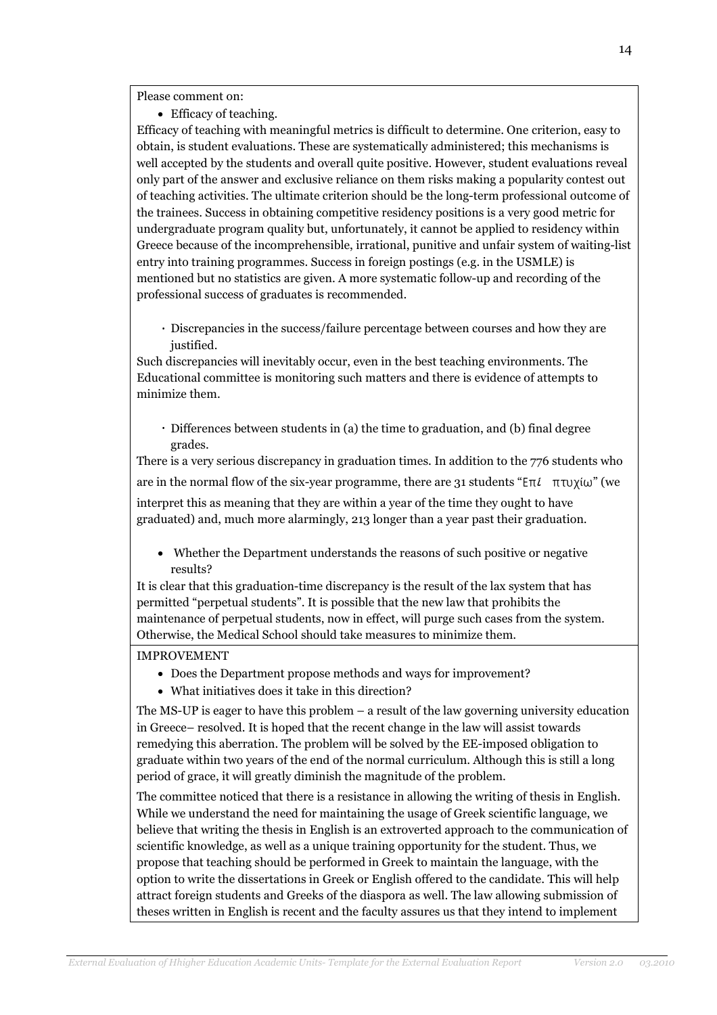Please comment on:

• Efficacy of teaching.

Efficacy of teaching with meaningful metrics is difficult to determine. One criterion, easy to obtain, is student evaluations. These are systematically administered; this mechanisms is well accepted by the students and overall quite positive. However, student evaluations reveal only part of the answer and exclusive reliance on them risks making a popularity contest out of teaching activities. The ultimate criterion should be the long-term professional outcome of the trainees. Success in obtaining competitive residency positions is a very good metric for undergraduate program quality but, unfortunately, it cannot be applied to residency within Greece because of the incomprehensible, irrational, punitive and unfair system of waiting-list entry into training programmes. Success in foreign postings (e.g. in the USMLE) is mentioned but no statistics are given. A more systematic follow-up and recording of the professional success of graduates is recommended.

 Discrepancies in the success/failure percentage between courses and how they are justified.

Such discrepancies will inevitably occur, even in the best teaching environments. The Educational committee is monitoring such matters and there is evidence of attempts to minimize them.

 Differences between students in (a) the time to graduation, and (b) final degree grades.

There is a very serious discrepancy in graduation times. In addition to the 776 students who are in the normal flow of the six-year programme, there are 31 students " $E\pi i$   $\pi \nu \chi i \omega$ " (we interpret this as meaning that they are within a year of the time they ought to have

graduated) and, much more alarmingly, 213 longer than a year past their graduation.

• Whether the Department understands the reasons of such positive or negative results?

It is clear that this graduation-time discrepancy is the result of the lax system that has permitted "perpetual students". It is possible that the new law that prohibits the maintenance of perpetual students, now in effect, will purge such cases from the system. Otherwise, the Medical School should take measures to minimize them.

### IMPROVEMENT

- Does the Department propose methods and ways for improvement?
- What initiatives does it take in this direction?

The MS-UP is eager to have this problem – a result of the law governing university education in Greece– resolved. It is hoped that the recent change in the law will assist towards remedying this aberration. The problem will be solved by the EE-imposed obligation to graduate within two years of the end of the normal curriculum. Although this is still a long period of grace, it will greatly diminish the magnitude of the problem.

The committee noticed that there is a resistance in allowing the writing of thesis in English. While we understand the need for maintaining the usage of Greek scientific language, we believe that writing the thesis in English is an extroverted approach to the communication of scientific knowledge, as well as a unique training opportunity for the student. Thus, we propose that teaching should be performed in Greek to maintain the language, with the option to write the dissertations in Greek or English offered to the candidate. This will help attract foreign students and Greeks of the diaspora as well. The law allowing submission of theses written in English is recent and the faculty assures us that they intend to implement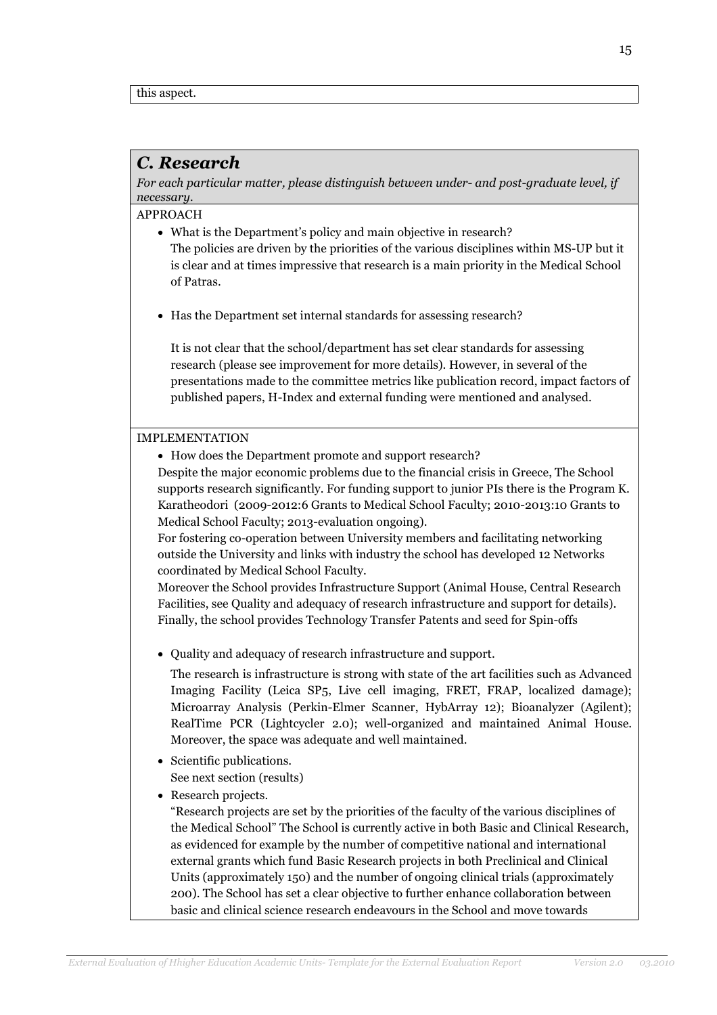### C. Research

For each particular matter, please distinguish between under- and post-graduate level, if necessary.

APPROACH

- What is the Department's policy and main objective in research? The policies are driven by the priorities of the various disciplines within MS-UP but it is clear and at times impressive that research is a main priority in the Medical School of Patras.
- Has the Department set internal standards for assessing research?

It is not clear that the school/department has set clear standards for assessing research (please see improvement for more details). However, in several of the presentations made to the committee metrics like publication record, impact factors of published papers, H-Index and external funding were mentioned and analysed.

### IMPLEMENTATION

• How does the Department promote and support research?

Despite the major economic problems due to the financial crisis in Greece, The School supports research significantly. For funding support to junior PIs there is the Program K. Karatheodori (2009-2012:6 Grants to Medical School Faculty; 2010-2013:10 Grants to Medical School Faculty; 2013-evaluation ongoing).

For fostering co-operation between University members and facilitating networking outside the University and links with industry the school has developed 12 Networks coordinated by Medical School Faculty.

Moreover the School provides Infrastructure Support (Animal House, Central Research Facilities, see Quality and adequacy of research infrastructure and support for details). Finally, the school provides Technology Transfer Patents and seed for Spin-offs

• Quality and adequacy of research infrastructure and support.

The research is infrastructure is strong with state of the art facilities such as Advanced Imaging Facility (Leica SP5, Live cell imaging, FRET, FRAP, localized damage); Microarray Analysis (Perkin-Elmer Scanner, HybArray 12); Bioanalyzer (Agilent); RealTime PCR (Lightcycler 2.0); well-organized and maintained Animal House. Moreover, the space was adequate and well maintained.

- Scientific publications. See next section (results)
- Research projects.

"Research projects are set by the priorities of the faculty of the various disciplines of the Medical School" The School is currently active in both Basic and Clinical Research, as evidenced for example by the number of competitive national and international external grants which fund Basic Research projects in both Preclinical and Clinical Units (approximately 150) and the number of ongoing clinical trials (approximately 200). The School has set a clear objective to further enhance collaboration between basic and clinical science research endeavours in the School and move towards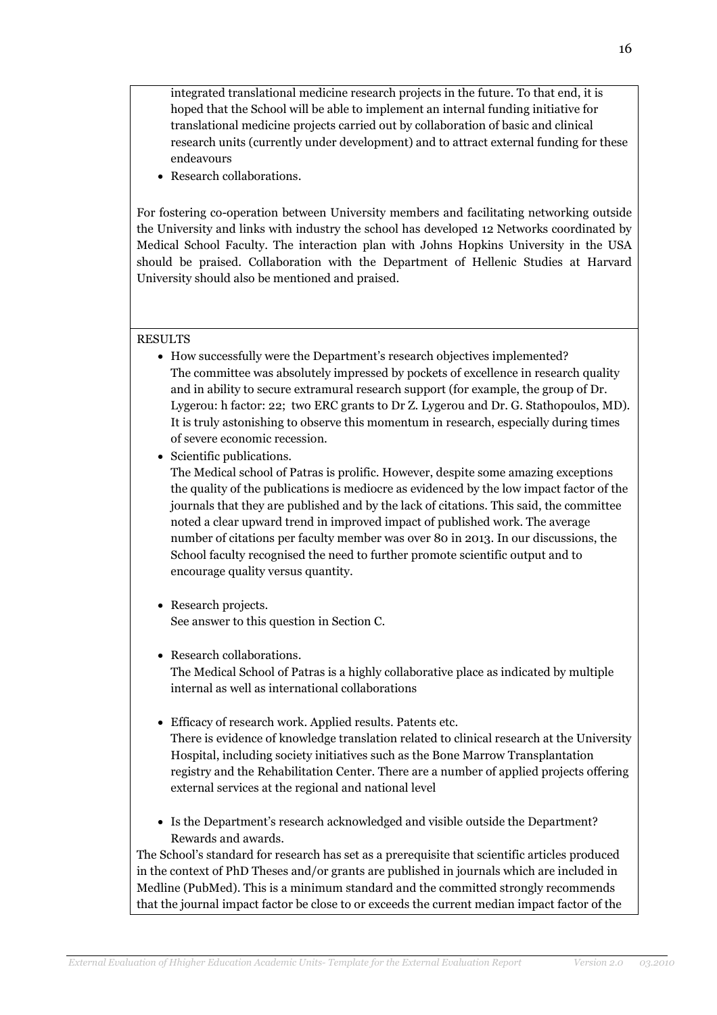integrated translational medicine research projects in the future. To that end, it is hoped that the School will be able to implement an internal funding initiative for translational medicine projects carried out by collaboration of basic and clinical research units (currently under development) and to attract external funding for these endeavours

• Research collaborations.

For fostering co-operation between University members and facilitating networking outside the University and links with industry the school has developed 12 Networks coordinated by Medical School Faculty. The interaction plan with Johns Hopkins University in the USA should be praised. Collaboration with the Department of Hellenic Studies at Harvard University should also be mentioned and praised.

#### RESULTS

- How successfully were the Department's research objectives implemented? The committee was absolutely impressed by pockets of excellence in research quality and in ability to secure extramural research support (for example, the group of Dr. Lygerou: h factor: 22; two ERC grants to Dr Z. Lygerou and Dr. G. Stathopoulos, MD). It is truly astonishing to observe this momentum in research, especially during times of severe economic recession.
- Scientific publications.

The Medical school of Patras is prolific. However, despite some amazing exceptions the quality of the publications is mediocre as evidenced by the low impact factor of the journals that they are published and by the lack of citations. This said, the committee noted a clear upward trend in improved impact of published work. The average number of citations per faculty member was over 80 in 2013. In our discussions, the School faculty recognised the need to further promote scientific output and to encourage quality versus quantity.

- Research projects. See answer to this question in Section C.
- Research collaborations. The Medical School of Patras is a highly collaborative place as indicated by multiple internal as well as international collaborations
- Efficacy of research work. Applied results. Patents etc. There is evidence of knowledge translation related to clinical research at the University Hospital, including society initiatives such as the Bone Marrow Transplantation registry and the Rehabilitation Center. There are a number of applied projects offering external services at the regional and national level
- Is the Department's research acknowledged and visible outside the Department? Rewards and awards.

The School's standard for research has set as a prerequisite that scientific articles produced in the context of PhD Theses and/or grants are published in journals which are included in Medline (PubMed). This is a minimum standard and the committed strongly recommends that the journal impact factor be close to or exceeds the current median impact factor of the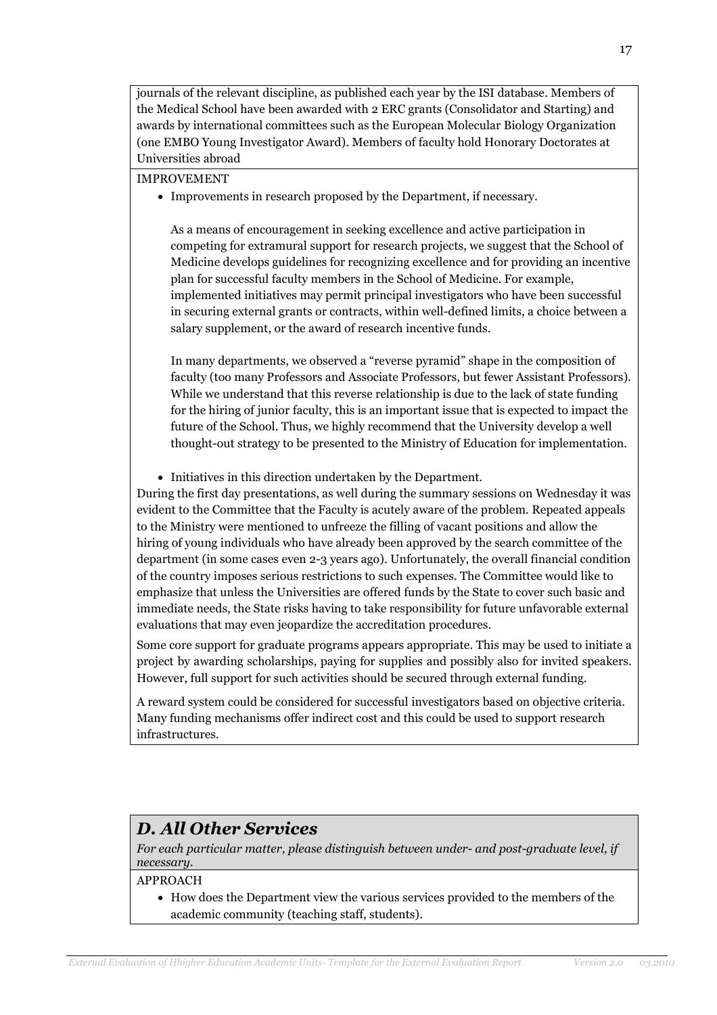journals of the relevant discipline, as published each year by the ISI database. Members of the Medical School have been awarded with 2 ERC grants (Consolidator and Starting) and awards by international committees such as the European Molecular Biology Organization (one EMBO Young Investigator Award). Members of faculty hold Honorary Doctorates at Universities abroad

### IMPROVEMENT

• Improvements in research proposed by the Department, if necessary.

As a means of encouragement in seeking excellence and active participation in competing for extramural support for research projects, we suggest that the School of Medicine develops guidelines for recognizing excellence and for providing an incentive plan for successful faculty members in the School of Medicine. For example, implemented initiatives may permit principal investigators who have been successful in securing external grants or contracts, within well-defined limits, a choice between a salary supplement, or the award of research incentive funds.

In many departments, we observed a "reverse pyramid" shape in the composition of faculty (too many Professors and Associate Professors, but fewer Assistant Professors). While we understand that this reverse relationship is due to the lack of state funding for the hiring of junior faculty, this is an important issue that is expected to impact the future of the School. Thus, we highly recommend that the University develop a well thought-out strategy to be presented to the Ministry of Education for implementation.

• Initiatives in this direction undertaken by the Department.

During the first day presentations, as well during the summary sessions on Wednesday it was evident to the Committee that the Faculty is acutely aware of the problem. Repeated appeals to the Ministry were mentioned to unfreeze the filling of vacant positions and allow the hiring of young individuals who have already been approved by the search committee of the department (in some cases even 2-3 years ago). Unfortunately, the overall financial condition of the country imposes serious restrictions to such expenses. The Committee would like to emphasize that unless the Universities are offered funds by the State to cover such basic and immediate needs, the State risks having to take responsibility for future unfavorable external evaluations that may even jeopardize the accreditation procedures.

Some core support for graduate programs appears appropriate. This may be used to initiate a project by awarding scholarships, paying for supplies and possibly also for invited speakers. However, full support for such activities should be secured through external funding.

A reward system could be considered for successful investigators based on objective criteria. Many funding mechanisms offer indirect cost and this could be used to support research infrastructures.

### D. All Other Services

For each particular matter, please distinguish between under- and post-graduate level, if necessary.

### APPROACH

• How does the Department view the various services provided to the members of the academic community (teaching staff, students).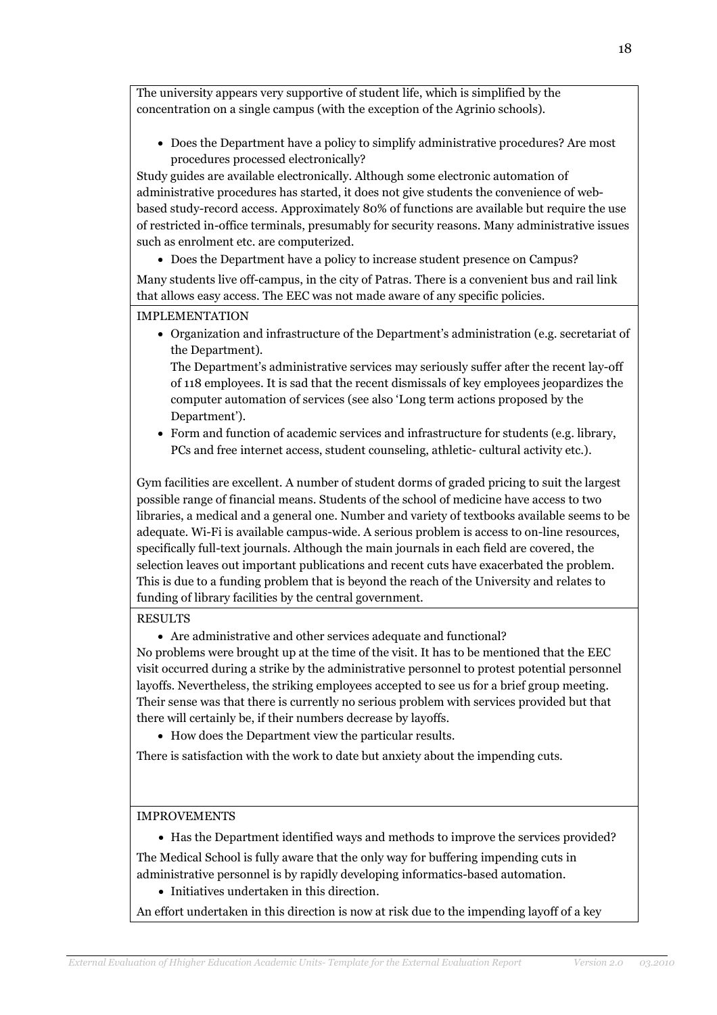The university appears very supportive of student life, which is simplified by the concentration on a single campus (with the exception of the Agrinio schools).

• Does the Department have a policy to simplify administrative procedures? Are most procedures processed electronically?

Study guides are available electronically. Although some electronic automation of administrative procedures has started, it does not give students the convenience of webbased study-record access. Approximately 80% of functions are available but require the use of restricted in-office terminals, presumably for security reasons. Many administrative issues such as enrolment etc. are computerized.

• Does the Department have a policy to increase student presence on Campus?

Many students live off-campus, in the city of Patras. There is a convenient bus and rail link that allows easy access. The EEC was not made aware of any specific policies.

IMPLEMENTATION

• Organization and infrastructure of the Department's administration (e.g. secretariat of the Department).

The Department's administrative services may seriously suffer after the recent lay-off of 118 employees. It is sad that the recent dismissals of key employees jeopardizes the computer automation of services (see also 'Long term actions proposed by the Department').

• Form and function of academic services and infrastructure for students (e.g. library, PCs and free internet access, student counseling, athletic- cultural activity etc.).

Gym facilities are excellent. A number of student dorms of graded pricing to suit the largest possible range of financial means. Students of the school of medicine have access to two libraries, a medical and a general one. Number and variety of textbooks available seems to be adequate. Wi-Fi is available campus-wide. A serious problem is access to on-line resources, specifically full-text journals. Although the main journals in each field are covered, the selection leaves out important publications and recent cuts have exacerbated the problem. This is due to a funding problem that is beyond the reach of the University and relates to funding of library facilities by the central government.

### RESULTS

• Are administrative and other services adequate and functional?

No problems were brought up at the time of the visit. It has to be mentioned that the EEC visit occurred during a strike by the administrative personnel to protest potential personnel layoffs. Nevertheless, the striking employees accepted to see us for a brief group meeting. Their sense was that there is currently no serious problem with services provided but that there will certainly be, if their numbers decrease by layoffs.

• How does the Department view the particular results.

There is satisfaction with the work to date but anxiety about the impending cuts.

### IMPROVEMENTS

• Has the Department identified ways and methods to improve the services provided?

The Medical School is fully aware that the only way for buffering impending cuts in administrative personnel is by rapidly developing informatics-based automation.

• Initiatives undertaken in this direction.

An effort undertaken in this direction is now at risk due to the impending layoff of a key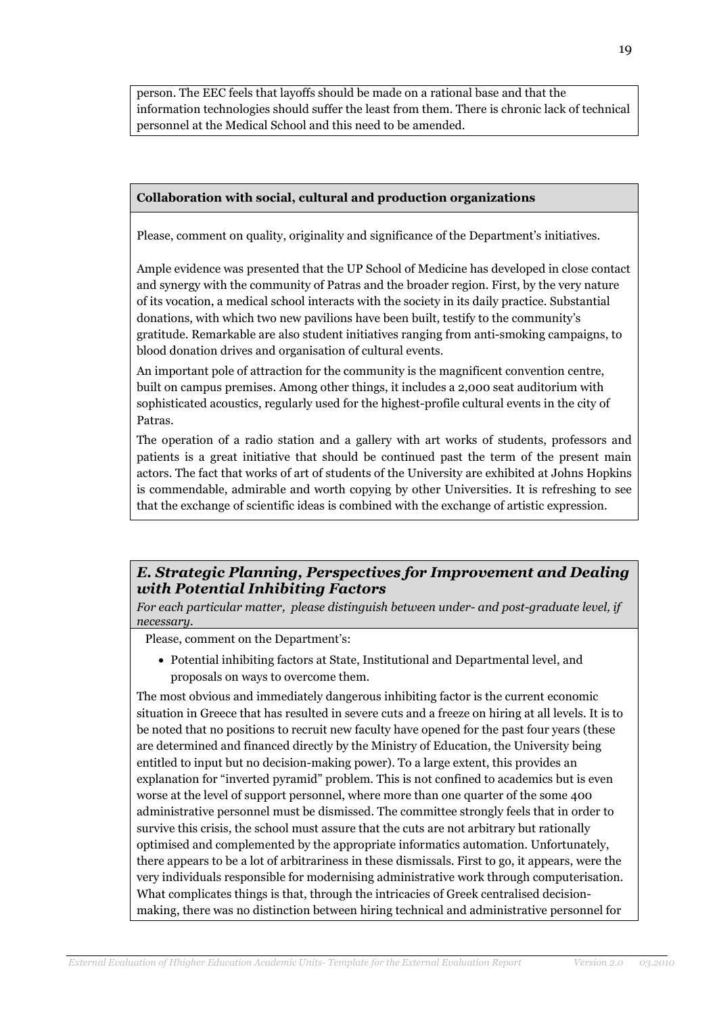person. The EEC feels that layoffs should be made on a rational base and that the information technologies should suffer the least from them. There is chronic lack of technical personnel at the Medical School and this need to be amended.

### Collaboration with social, cultural and production organizations

Please, comment on quality, originality and significance of the Department's initiatives.

Ample evidence was presented that the UP School of Medicine has developed in close contact and synergy with the community of Patras and the broader region. First, by the very nature of its vocation, a medical school interacts with the society in its daily practice. Substantial donations, with which two new pavilions have been built, testify to the community's gratitude. Remarkable are also student initiatives ranging from anti-smoking campaigns, to blood donation drives and organisation of cultural events.

An important pole of attraction for the community is the magnificent convention centre, built on campus premises. Among other things, it includes a 2,000 seat auditorium with sophisticated acoustics, regularly used for the highest-profile cultural events in the city of Patras.

The operation of a radio station and a gallery with art works of students, professors and patients is a great initiative that should be continued past the term of the present main actors. The fact that works of art of students of the University are exhibited at Johns Hopkins is commendable, admirable and worth copying by other Universities. It is refreshing to see that the exchange of scientific ideas is combined with the exchange of artistic expression.

### E. Strategic Planning, Perspectives for Improvement and Dealing with Potential Inhibiting Factors

For each particular matter, please distinguish between under- and post-graduate level, if necessary.

Please, comment on the Department's:

• Potential inhibiting factors at State, Institutional and Departmental level, and proposals on ways to overcome them.

The most obvious and immediately dangerous inhibiting factor is the current economic situation in Greece that has resulted in severe cuts and a freeze on hiring at all levels. It is to be noted that no positions to recruit new faculty have opened for the past four years (these are determined and financed directly by the Ministry of Education, the University being entitled to input but no decision-making power). To a large extent, this provides an explanation for "inverted pyramid" problem. This is not confined to academics but is even worse at the level of support personnel, where more than one quarter of the some 400 administrative personnel must be dismissed. The committee strongly feels that in order to survive this crisis, the school must assure that the cuts are not arbitrary but rationally optimised and complemented by the appropriate informatics automation. Unfortunately, there appears to be a lot of arbitrariness in these dismissals. First to go, it appears, were the very individuals responsible for modernising administrative work through computerisation. What complicates things is that, through the intricacies of Greek centralised decisionmaking, there was no distinction between hiring technical and administrative personnel for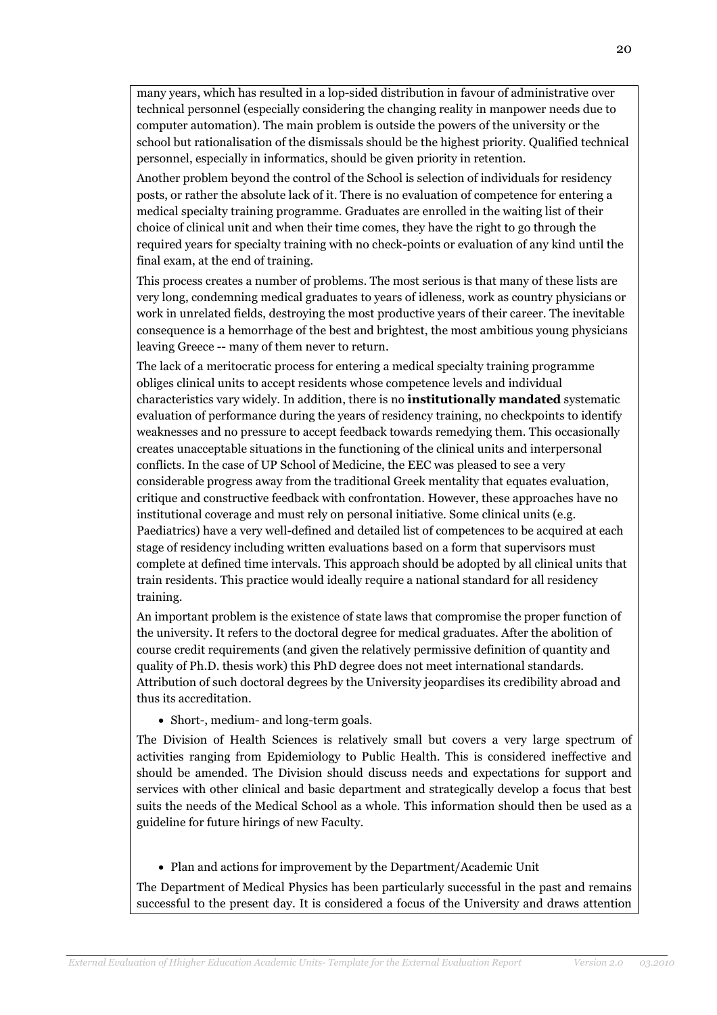many years, which has resulted in a lop-sided distribution in favour of administrative over technical personnel (especially considering the changing reality in manpower needs due to computer automation). The main problem is outside the powers of the university or the school but rationalisation of the dismissals should be the highest priority. Qualified technical personnel, especially in informatics, should be given priority in retention.

Another problem beyond the control of the School is selection of individuals for residency posts, or rather the absolute lack of it. There is no evaluation of competence for entering a medical specialty training programme. Graduates are enrolled in the waiting list of their choice of clinical unit and when their time comes, they have the right to go through the required years for specialty training with no check-points or evaluation of any kind until the final exam, at the end of training.

This process creates a number of problems. The most serious is that many of these lists are very long, condemning medical graduates to years of idleness, work as country physicians or work in unrelated fields, destroying the most productive years of their career. The inevitable consequence is a hemorrhage of the best and brightest, the most ambitious young physicians leaving Greece -- many of them never to return.

The lack of a meritocratic process for entering a medical specialty training programme obliges clinical units to accept residents whose competence levels and individual characteristics vary widely. In addition, there is no institutionally mandated systematic evaluation of performance during the years of residency training, no checkpoints to identify weaknesses and no pressure to accept feedback towards remedying them. This occasionally creates unacceptable situations in the functioning of the clinical units and interpersonal conflicts. In the case of UP School of Medicine, the EEC was pleased to see a very considerable progress away from the traditional Greek mentality that equates evaluation, critique and constructive feedback with confrontation. However, these approaches have no institutional coverage and must rely on personal initiative. Some clinical units (e.g. Paediatrics) have a very well-defined and detailed list of competences to be acquired at each stage of residency including written evaluations based on a form that supervisors must complete at defined time intervals. This approach should be adopted by all clinical units that train residents. This practice would ideally require a national standard for all residency training.

An important problem is the existence of state laws that compromise the proper function of the university. It refers to the doctoral degree for medical graduates. After the abolition of course credit requirements (and given the relatively permissive definition of quantity and quality of Ph.D. thesis work) this PhD degree does not meet international standards. Attribution of such doctoral degrees by the University jeopardises its credibility abroad and thus its accreditation.

• Short-, medium- and long-term goals.

The Division of Health Sciences is relatively small but covers a very large spectrum of activities ranging from Epidemiology to Public Health. This is considered ineffective and should be amended. The Division should discuss needs and expectations for support and services with other clinical and basic department and strategically develop a focus that best suits the needs of the Medical School as a whole. This information should then be used as a guideline for future hirings of new Faculty.

• Plan and actions for improvement by the Department/Academic Unit

The Department of Medical Physics has been particularly successful in the past and remains successful to the present day. It is considered a focus of the University and draws attention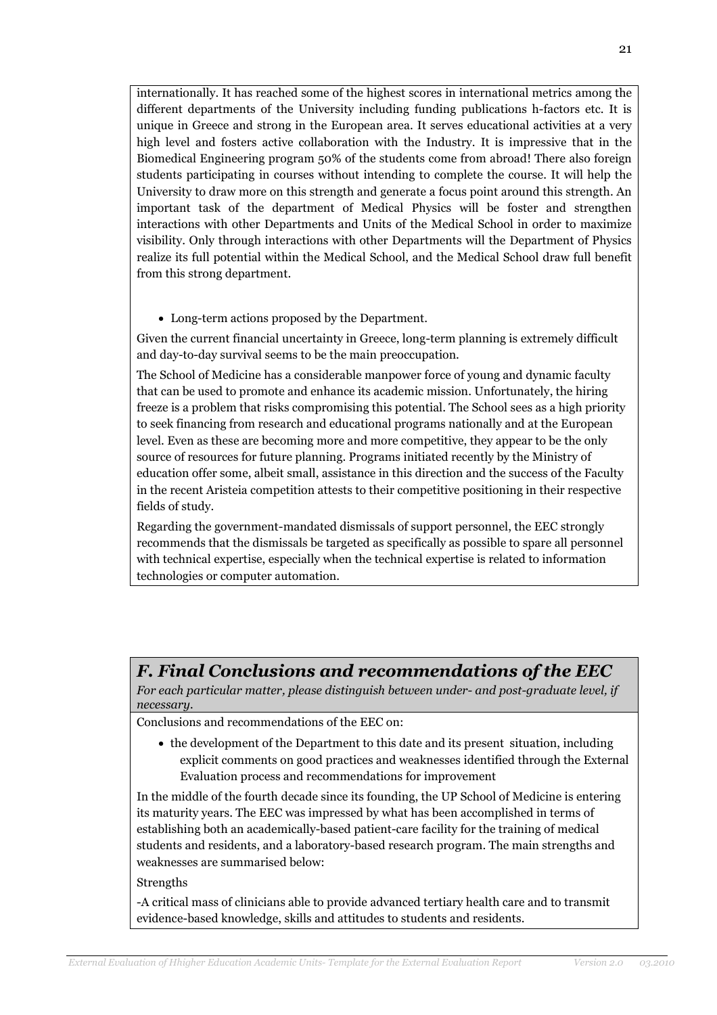internationally. It has reached some of the highest scores in international metrics among the different departments of the University including funding publications h-factors etc. It is unique in Greece and strong in the European area. It serves educational activities at a very high level and fosters active collaboration with the Industry. It is impressive that in the Biomedical Engineering program 50% of the students come from abroad! There also foreign students participating in courses without intending to complete the course. It will help the University to draw more on this strength and generate a focus point around this strength. An important task of the department of Medical Physics will be foster and strengthen interactions with other Departments and Units of the Medical School in order to maximize visibility. Only through interactions with other Departments will the Department of Physics realize its full potential within the Medical School, and the Medical School draw full benefit from this strong department.

• Long-term actions proposed by the Department.

Given the current financial uncertainty in Greece, long-term planning is extremely difficult and day-to-day survival seems to be the main preoccupation.

The School of Medicine has a considerable manpower force of young and dynamic faculty that can be used to promote and enhance its academic mission. Unfortunately, the hiring freeze is a problem that risks compromising this potential. The School sees as a high priority to seek financing from research and educational programs nationally and at the European level. Even as these are becoming more and more competitive, they appear to be the only source of resources for future planning. Programs initiated recently by the Ministry of education offer some, albeit small, assistance in this direction and the success of the Faculty in the recent Aristeia competition attests to their competitive positioning in their respective fields of study.

Regarding the government-mandated dismissals of support personnel, the EEC strongly recommends that the dismissals be targeted as specifically as possible to spare all personnel with technical expertise, especially when the technical expertise is related to information technologies or computer automation.

### F. Final Conclusions and recommendations of the EEC

For each particular matter, please distinguish between under- and post-graduate level, if necessary.

Conclusions and recommendations of the EEC on:

• the development of the Department to this date and its present situation, including explicit comments on good practices and weaknesses identified through the External Evaluation process and recommendations for improvement

In the middle of the fourth decade since its founding, the UP School of Medicine is entering its maturity years. The EEC was impressed by what has been accomplished in terms of establishing both an academically-based patient-care facility for the training of medical students and residents, and a laboratory-based research program. The main strengths and weaknesses are summarised below:

### **Strengths**

-A critical mass of clinicians able to provide advanced tertiary health care and to transmit evidence-based knowledge, skills and attitudes to students and residents.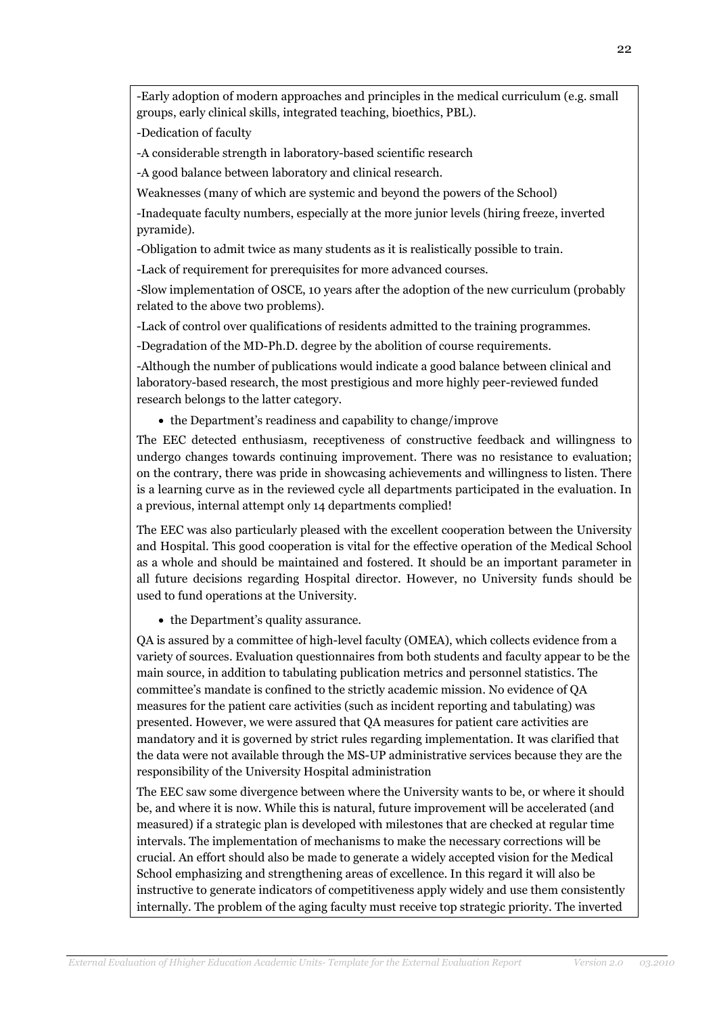-Early adoption of modern approaches and principles in the medical curriculum (e.g. small groups, early clinical skills, integrated teaching, bioethics, PBL).

-Dedication of faculty

-A considerable strength in laboratory-based scientific research

-A good balance between laboratory and clinical research.

Weaknesses (many of which are systemic and beyond the powers of the School)

-Inadequate faculty numbers, especially at the more junior levels (hiring freeze, inverted pyramide).

-Obligation to admit twice as many students as it is realistically possible to train.

-Lack of requirement for prerequisites for more advanced courses.

-Slow implementation of OSCE, 10 years after the adoption of the new curriculum (probably related to the above two problems).

-Lack of control over qualifications of residents admitted to the training programmes.

-Degradation of the MD-Ph.D. degree by the abolition of course requirements.

-Although the number of publications would indicate a good balance between clinical and laboratory-based research, the most prestigious and more highly peer-reviewed funded research belongs to the latter category.

• the Department's readiness and capability to change/improve

The EEC detected enthusiasm, receptiveness of constructive feedback and willingness to undergo changes towards continuing improvement. There was no resistance to evaluation; on the contrary, there was pride in showcasing achievements and willingness to listen. There is a learning curve as in the reviewed cycle all departments participated in the evaluation. In a previous, internal attempt only 14 departments complied!

The EEC was also particularly pleased with the excellent cooperation between the University and Hospital. This good cooperation is vital for the effective operation of the Medical School as a whole and should be maintained and fostered. It should be an important parameter in all future decisions regarding Hospital director. However, no University funds should be used to fund operations at the University.

• the Department's quality assurance.

QA is assured by a committee of high-level faculty (OMEA), which collects evidence from a variety of sources. Evaluation questionnaires from both students and faculty appear to be the main source, in addition to tabulating publication metrics and personnel statistics. The committee's mandate is confined to the strictly academic mission. No evidence of QA measures for the patient care activities (such as incident reporting and tabulating) was presented. However, we were assured that QA measures for patient care activities are mandatory and it is governed by strict rules regarding implementation. It was clarified that the data were not available through the MS-UP administrative services because they are the responsibility of the University Hospital administration

The EEC saw some divergence between where the University wants to be, or where it should be, and where it is now. While this is natural, future improvement will be accelerated (and measured) if a strategic plan is developed with milestones that are checked at regular time intervals. The implementation of mechanisms to make the necessary corrections will be crucial. An effort should also be made to generate a widely accepted vision for the Medical School emphasizing and strengthening areas of excellence. In this regard it will also be instructive to generate indicators of competitiveness apply widely and use them consistently internally. The problem of the aging faculty must receive top strategic priority. The inverted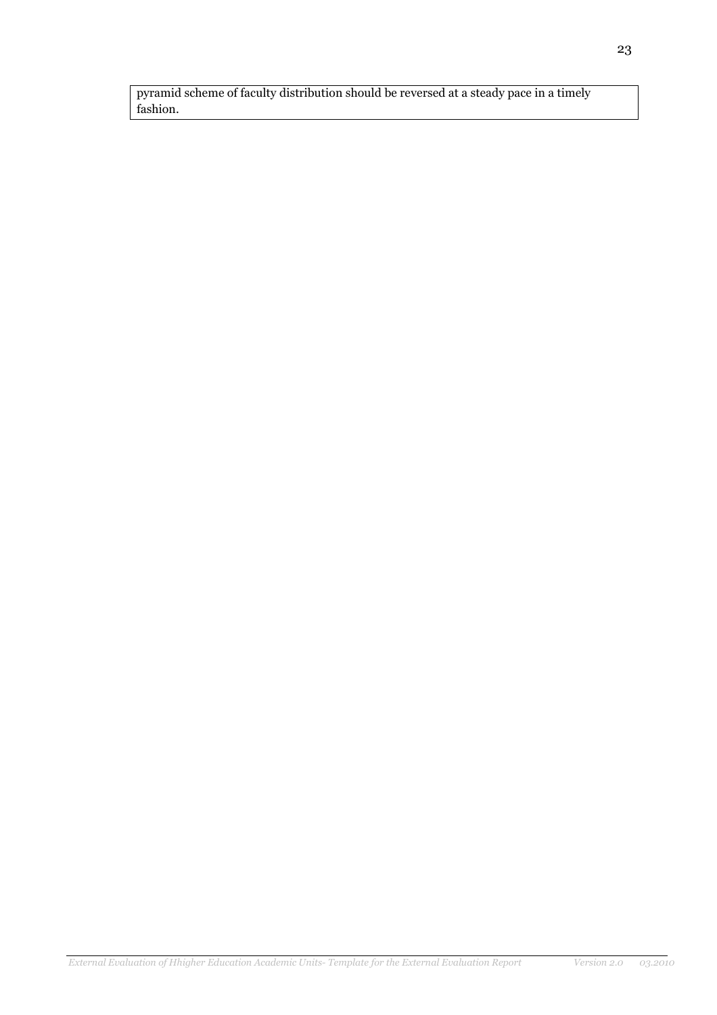pyramid scheme of faculty distribution should be reversed at a steady pace in a timely fashion.